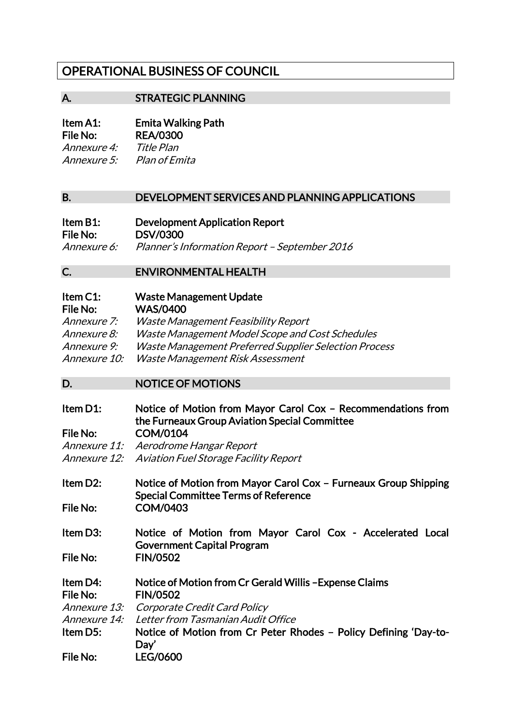# OPERATIONAL BUSINESS OF COUNCIL

## A. STRATEGIC PLANNING

# Item A1: Emita Walking Path

File No: REA/0300<br>Annexure 4: Title Plan Annexure 4: Annexure 5: Plan of Emita

#### B. DEVELOPMENT SERVICES AND PLANNING APPLICATIONS

| Item B1:           | <b>Development Application Report</b>         |
|--------------------|-----------------------------------------------|
| File No:           | <b>DSV/0300</b>                               |
| <i>Annexure 6:</i> | Planner's Information Report - September 2016 |

C. ENVIRONMENTAL HEALTH

| Item $C1$ :<br>File No: | <b>Waste Management Update</b><br><b>WAS/0400</b>            |
|-------------------------|--------------------------------------------------------------|
| Annexure 7:             | <i>Waste Management Feasibility Report</i>                   |
| <i>Annexure 8:</i>      | <b>Waste Management Model Scope and Cost Schedules</b>       |
| Annexure 9:             | <b>Waste Management Preferred Supplier Selection Process</b> |
| Annexure 10:            | Waste Management Risk Assessment                             |

## D. NOTICE OF MOTIONS

| Item D1:             | Notice of Motion from Mayor Carol Cox - Recommendations from<br>the Furneaux Group Aviation Special Committee  |
|----------------------|----------------------------------------------------------------------------------------------------------------|
| File No:             | <b>COM/0104</b>                                                                                                |
|                      | Annexure 11: Aerodrome Hangar Report                                                                           |
| <i>Annexure 12:</i>  | Aviation Fuel Storage Facility Report                                                                          |
| Item D2:             | Notice of Motion from Mayor Carol Cox - Furneaux Group Shipping<br><b>Special Committee Terms of Reference</b> |
| File No:             | <b>COM/0403</b>                                                                                                |
| Item D3:             | Notice of Motion from Mayor Carol Cox - Accelerated Local<br><b>Government Capital Program</b>                 |
| File No:             | <b>FIN/0502</b>                                                                                                |
| Item D4:<br>File No: | Notice of Motion from Cr Gerald Willis - Expense Claims<br><b>FIN/0502</b>                                     |
|                      | Annexure 13: Corporate Credit Card Policy                                                                      |
| Annexure 14:         | Letter from Tasmanian Audit Office                                                                             |
| Item D5:             | Notice of Motion from Cr Peter Rhodes - Policy Defining 'Day-to-<br>Day'                                       |
| File No:             | <b>LEG/0600</b>                                                                                                |
|                      |                                                                                                                |